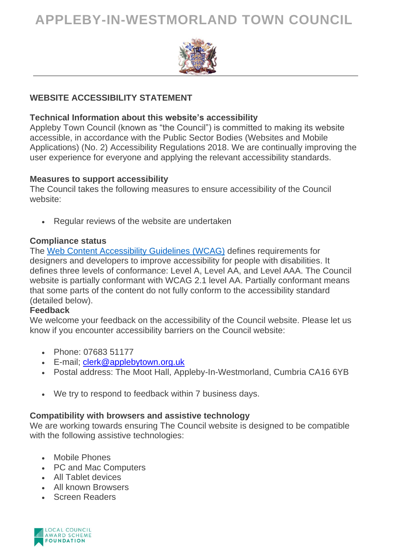# **APPLEBY-IN-WESTMORLAND TOWN COUNCIL**



### **WEBSITE ACCESSIBILITY STATEMENT**

#### **Technical Information about this website's accessibility**

Appleby Town Council (known as "the Council") is committed to making its website accessible, in accordance with the Public Sector Bodies (Websites and Mobile Applications) (No. 2) Accessibility Regulations 2018. We are continually improving the user experience for everyone and applying the relevant accessibility standards.

#### **Measures to support accessibility**

The Council takes the following measures to ensure accessibility of the Council website:

• Regular reviews of the website are undertaken

#### **Compliance status**

The Web Content [Accessibility](https://www.w3.org/WAI/standards-guidelines/wcag/) Guidelines (WCAG) defines requirements for designers and developers to improve accessibility for people with disabilities. It defines three levels of conformance: Level A, Level AA, and Level AAA. The Council website is partially conformant with WCAG 2.1 level AA. Partially conformant means that some parts of the content do not fully conform to the accessibility standard (detailed below).

### **Feedback**

We welcome your feedback on the accessibility of the Council website. Please let us know if you encounter accessibility barriers on the Council website:

- Phone: 07683 51177
- E-mail; [clerk@applebytown.org.uk](mailto:clerk@applebytown.org.uk)
- Postal address: The Moot Hall, Appleby-In-Westmorland, Cumbria CA16 6YB
- We try to respond to feedback within 7 business days.

## **Compatibility with browsers and assistive technology**

We are working towards ensuring The Council website is designed to be compatible with the following assistive technologies:

- Mobile Phones
- PC and Mac Computers
- All Tablet devices
- All known Browsers
- Screen Readers

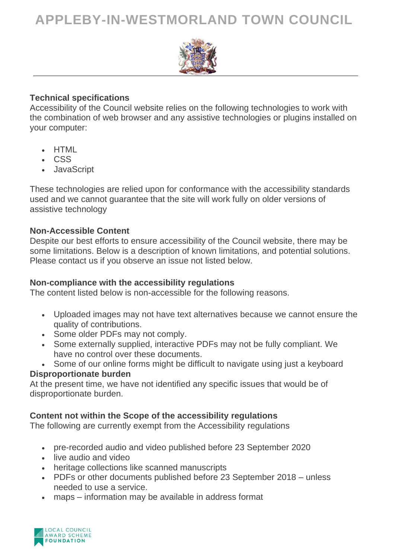# **APPLEBY-IN-WESTMORLAND TOWN COUNCIL**



#### **Technical specifications**

Accessibility of the Council website relies on the following technologies to work with the combination of web browser and any assistive technologies or plugins installed on your computer:

- HTML
- CSS
- JavaScript

These technologies are relied upon for conformance with the accessibility standards used and we cannot guarantee that the site will work fully on older versions of assistive technology

#### **Non-Accessible Content**

Despite our best efforts to ensure accessibility of the Council website, there may be some limitations. Below is a description of known limitations, and potential solutions. Please contact us if you observe an issue not listed below.

#### **Non-compliance with the accessibility regulations**

The content listed below is non-accessible for the following reasons.

- Uploaded images may not have text alternatives because we cannot ensure the quality of contributions.
- Some older PDFs may not comply.
- Some externally supplied, interactive PDFs may not be fully compliant. We have no control over these documents.
- Some of our online forms might be difficult to navigate using just a keyboard

#### **Disproportionate burden**

At the present time, we have not identified any specific issues that would be of disproportionate burden.

### **Content not within the Scope of the accessibility regulations**

The following are currently exempt from the Accessibility regulations

- pre-recorded audio and video published before 23 September 2020
- live audio and video
- heritage collections like scanned manuscripts
- PDFs or other documents published before 23 September 2018 unless needed to use a service.
- maps information may be available in address format